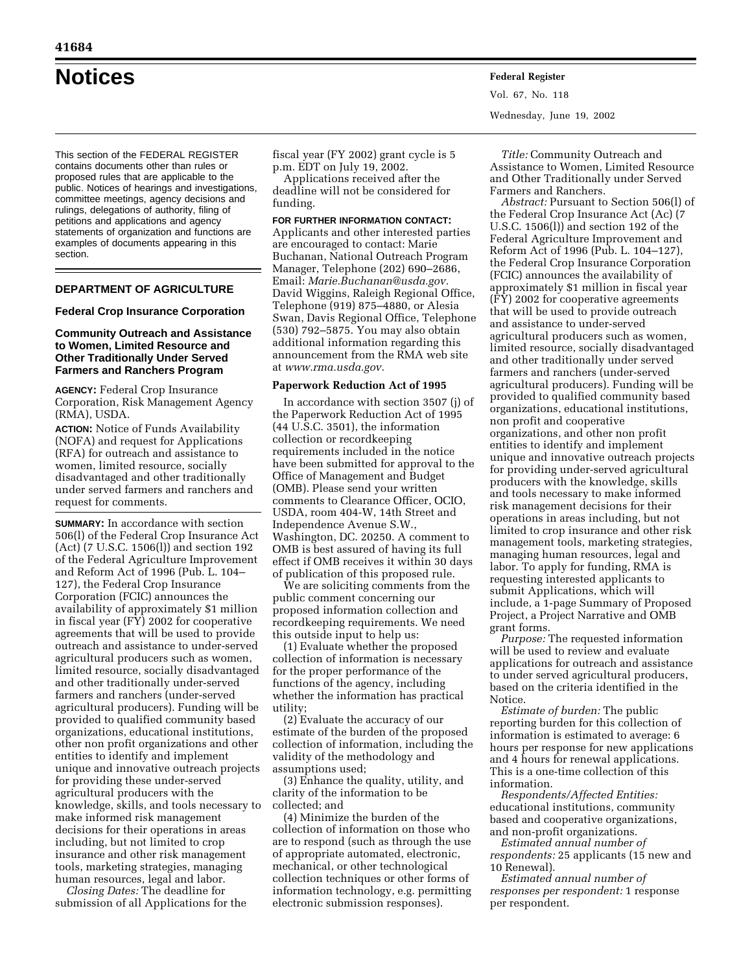This section of the FEDERAL REGISTER contains documents other than rules or proposed rules that are applicable to the public. Notices of hearings and investigations, committee meetings, agency decisions and rulings, delegations of authority, filing of petitions and applications and agency statements of organization and functions are examples of documents appearing in this section.

## **DEPARTMENT OF AGRICULTURE**

#### **Federal Crop Insurance Corporation**

## **Community Outreach and Assistance to Women, Limited Resource and Other Traditionally Under Served Farmers and Ranchers Program**

**AGENCY:** Federal Crop Insurance Corporation, Risk Management Agency (RMA), USDA.

**ACTION:** Notice of Funds Availability (NOFA) and request for Applications (RFA) for outreach and assistance to women, limited resource, socially disadvantaged and other traditionally under served farmers and ranchers and request for comments.

**SUMMARY:** In accordance with section 506(l) of the Federal Crop Insurance Act (Act) (7 U.S.C. 1506(l)) and section 192 of the Federal Agriculture Improvement and Reform Act of 1996 (Pub. L. 104– 127), the Federal Crop Insurance Corporation (FCIC) announces the availability of approximately \$1 million in fiscal year (FY) 2002 for cooperative agreements that will be used to provide outreach and assistance to under-served agricultural producers such as women, limited resource, socially disadvantaged and other traditionally under-served farmers and ranchers (under-served agricultural producers). Funding will be provided to qualified community based organizations, educational institutions, other non profit organizations and other entities to identify and implement unique and innovative outreach projects for providing these under-served agricultural producers with the knowledge, skills, and tools necessary to make informed risk management decisions for their operations in areas including, but not limited to crop insurance and other risk management tools, marketing strategies, managing human resources, legal and labor.

*Closing Dates:* The deadline for submission of all Applications for the

fiscal year (FY 2002) grant cycle is 5 p.m. EDT on July 19, 2002.

Applications received after the deadline will not be considered for funding.

#### **FOR FURTHER INFORMATION CONTACT:**

Applicants and other interested parties are encouraged to contact: Marie Buchanan, National Outreach Program Manager, Telephone (202) 690–2686, Email: *Marie.Buchanan@usda.gov.* David Wiggins, Raleigh Regional Office, Telephone (919) 875–4880, or Alesia Swan, Davis Regional Office, Telephone (530) 792–5875. You may also obtain additional information regarding this announcement from the RMA web site at *www.rma.usda.gov.*

### **Paperwork Reduction Act of 1995**

In accordance with section 3507 (j) of the Paperwork Reduction Act of 1995 (44 U.S.C. 3501), the information collection or recordkeeping requirements included in the notice have been submitted for approval to the Office of Management and Budget (OMB). Please send your written comments to Clearance Officer, OCIO, USDA, room 404-W, 14th Street and Independence Avenue S.W., Washington, DC. 20250. A comment to OMB is best assured of having its full effect if OMB receives it within 30 days of publication of this proposed rule.

We are soliciting comments from the public comment concerning our proposed information collection and recordkeeping requirements. We need this outside input to help us:

(1) Evaluate whether the proposed collection of information is necessary for the proper performance of the functions of the agency, including whether the information has practical utility;

(2) Evaluate the accuracy of our estimate of the burden of the proposed collection of information, including the validity of the methodology and assumptions used;

(3) Enhance the quality, utility, and clarity of the information to be collected; and

(4) Minimize the burden of the collection of information on those who are to respond (such as through the use of appropriate automated, electronic, mechanical, or other technological collection techniques or other forms of information technology, e.g. permitting electronic submission responses).

**Notices Federal Register** Vol. 67, No. 118 Wednesday, June 19, 2002

> *Title:* Community Outreach and Assistance to Women, Limited Resource and Other Traditionally under Served Farmers and Ranchers.

> *Abstract:* Pursuant to Section 506(l) of the Federal Crop Insurance Act (Ac) (7 U.S.C. 1506(l)) and section 192 of the Federal Agriculture Improvement and Reform Act of 1996 (Pub. L. 104–127), the Federal Crop Insurance Corporation (FCIC) announces the availability of approximately \$1 million in fiscal year (FY) 2002 for cooperative agreements that will be used to provide outreach and assistance to under-served agricultural producers such as women, limited resource, socially disadvantaged and other traditionally under served farmers and ranchers (under-served agricultural producers). Funding will be provided to qualified community based organizations, educational institutions, non profit and cooperative organizations, and other non profit entities to identify and implement unique and innovative outreach projects for providing under-served agricultural producers with the knowledge, skills and tools necessary to make informed risk management decisions for their operations in areas including, but not limited to crop insurance and other risk management tools, marketing strategies, managing human resources, legal and labor. To apply for funding, RMA is requesting interested applicants to submit Applications, which will include, a 1-page Summary of Proposed Project, a Project Narrative and OMB grant forms.

> *Purpose:* The requested information will be used to review and evaluate applications for outreach and assistance to under served agricultural producers, based on the criteria identified in the Notice.

> *Estimate of burden:* The public reporting burden for this collection of information is estimated to average: 6 hours per response for new applications and 4 hours for renewal applications. This is a one-time collection of this information.

*Respondents/Affected Entities:* educational institutions, community based and cooperative organizations, and non-profit organizations.

*Estimated annual number of respondents:* 25 applicants (15 new and 10 Renewal).

*Estimated annual number of responses per respondent:* 1 response per respondent.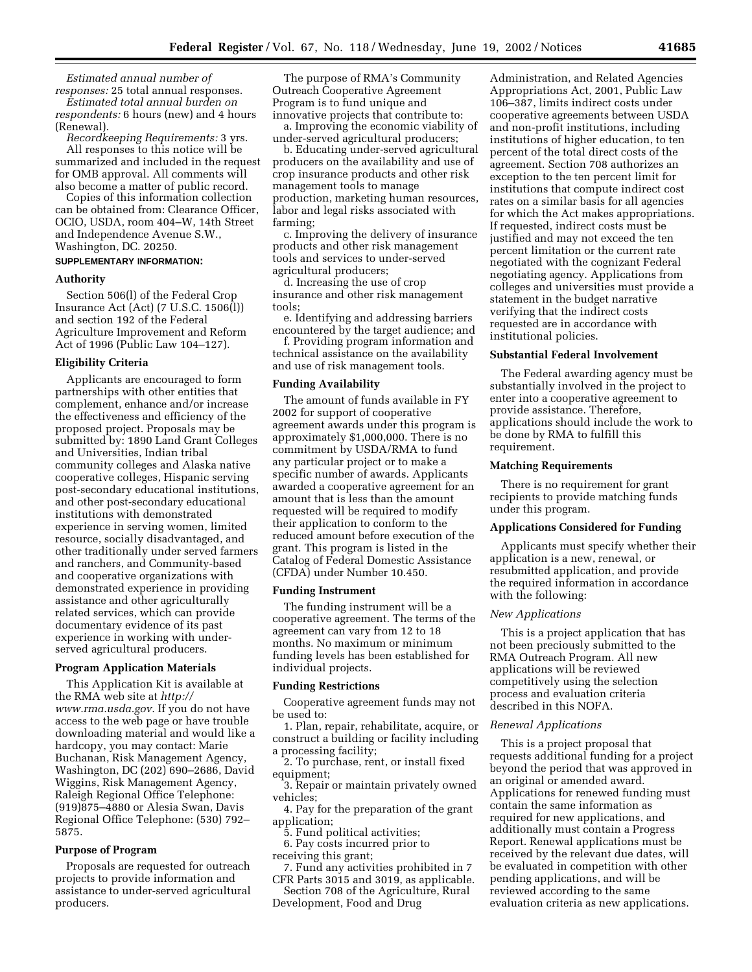*Estimated annual number of responses:* 25 total annual responses.

*Estimated total annual burden on respondents:* 6 hours (new) and 4 hours (Renewal).

*Recordkeeping Requirements:* 3 yrs. All responses to this notice will be summarized and included in the request for OMB approval. All comments will also become a matter of public record.

Copies of this information collection can be obtained from: Clearance Officer, OCIO, USDA, room 404–W, 14th Street and Independence Avenue S.W., Washington, DC. 20250.

# **SUPPLEMENTARY INFORMATION:**

### **Authority**

Section 506(l) of the Federal Crop Insurance Act (Act) (7 U.S.C. 1506(l)) and section 192 of the Federal Agriculture Improvement and Reform Act of 1996 (Public Law 104–127).

### **Eligibility Criteria**

Applicants are encouraged to form partnerships with other entities that complement, enhance and/or increase the effectiveness and efficiency of the proposed project. Proposals may be submitted by: 1890 Land Grant Colleges and Universities, Indian tribal community colleges and Alaska native cooperative colleges, Hispanic serving post-secondary educational institutions, and other post-secondary educational institutions with demonstrated experience in serving women, limited resource, socially disadvantaged, and other traditionally under served farmers and ranchers, and Community-based and cooperative organizations with demonstrated experience in providing assistance and other agriculturally related services, which can provide documentary evidence of its past experience in working with underserved agricultural producers.

# **Program Application Materials**

This Application Kit is available at the RMA web site at *http:// www.rma.usda.gov.* If you do not have access to the web page or have trouble downloading material and would like a hardcopy, you may contact: Marie Buchanan, Risk Management Agency, Washington, DC (202) 690–2686, David Wiggins, Risk Management Agency, Raleigh Regional Office Telephone: (919)875–4880 or Alesia Swan, Davis Regional Office Telephone: (530) 792– 5875.

## **Purpose of Program**

Proposals are requested for outreach projects to provide information and assistance to under-served agricultural producers.

The purpose of RMA's Community Outreach Cooperative Agreement Program is to fund unique and innovative projects that contribute to:

a. Improving the economic viability of under-served agricultural producers;

b. Educating under-served agricultural producers on the availability and use of crop insurance products and other risk management tools to manage production, marketing human resources, labor and legal risks associated with farming;

c. Improving the delivery of insurance products and other risk management tools and services to under-served agricultural producers;

d. Increasing the use of crop insurance and other risk management tools;

e. Identifying and addressing barriers encountered by the target audience; and

f. Providing program information and technical assistance on the availability and use of risk management tools.

### **Funding Availability**

The amount of funds available in FY 2002 for support of cooperative agreement awards under this program is approximately \$1,000,000. There is no commitment by USDA/RMA to fund any particular project or to make a specific number of awards. Applicants awarded a cooperative agreement for an amount that is less than the amount requested will be required to modify their application to conform to the reduced amount before execution of the grant. This program is listed in the Catalog of Federal Domestic Assistance (CFDA) under Number 10.450.

#### **Funding Instrument**

The funding instrument will be a cooperative agreement. The terms of the agreement can vary from 12 to 18 months. No maximum or minimum funding levels has been established for individual projects.

### **Funding Restrictions**

Cooperative agreement funds may not be used to:

1. Plan, repair, rehabilitate, acquire, or construct a building or facility including a processing facility;

2. To purchase, rent, or install fixed equipment;

3. Repair or maintain privately owned vehicles;

4. Pay for the preparation of the grant application;

5. Fund political activities;

6. Pay costs incurred prior to

receiving this grant;

7. Fund any activities prohibited in 7 CFR Parts 3015 and 3019, as applicable.

Section 708 of the Agriculture, Rural Development, Food and Drug

Administration, and Related Agencies Appropriations Act, 2001, Public Law 106–387, limits indirect costs under cooperative agreements between USDA and non-profit institutions, including institutions of higher education, to ten percent of the total direct costs of the agreement. Section 708 authorizes an exception to the ten percent limit for institutions that compute indirect cost rates on a similar basis for all agencies for which the Act makes appropriations. If requested, indirect costs must be justified and may not exceed the ten percent limitation or the current rate negotiated with the cognizant Federal negotiating agency. Applications from colleges and universities must provide a statement in the budget narrative verifying that the indirect costs requested are in accordance with institutional policies.

### **Substantial Federal Involvement**

The Federal awarding agency must be substantially involved in the project to enter into a cooperative agreement to provide assistance. Therefore, applications should include the work to be done by RMA to fulfill this requirement.

### **Matching Requirements**

There is no requirement for grant recipients to provide matching funds under this program.

## **Applications Considered for Funding**

Applicants must specify whether their application is a new, renewal, or resubmitted application, and provide the required information in accordance with the following:

#### *New Applications*

This is a project application that has not been preciously submitted to the RMA Outreach Program. All new applications will be reviewed competitively using the selection process and evaluation criteria described in this NOFA.

#### *Renewal Applications*

This is a project proposal that requests additional funding for a project beyond the period that was approved in an original or amended award. Applications for renewed funding must contain the same information as required for new applications, and additionally must contain a Progress Report. Renewal applications must be received by the relevant due dates, will be evaluated in competition with other pending applications, and will be reviewed according to the same evaluation criteria as new applications.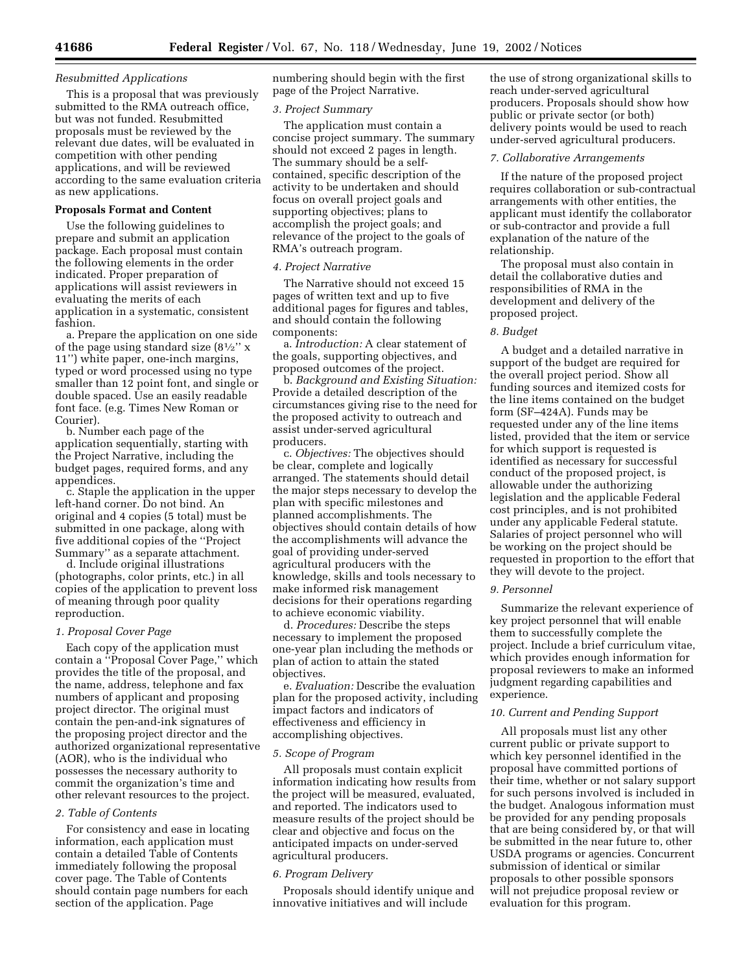### *Resubmitted Applications*

This is a proposal that was previously submitted to the RMA outreach office, but was not funded. Resubmitted proposals must be reviewed by the relevant due dates, will be evaluated in competition with other pending applications, and will be reviewed according to the same evaluation criteria as new applications.

## **Proposals Format and Content**

Use the following guidelines to prepare and submit an application package. Each proposal must contain the following elements in the order indicated. Proper preparation of applications will assist reviewers in evaluating the merits of each application in a systematic, consistent fashion.

a. Prepare the application on one side of the page using standard size  $(8\frac{1}{2})^{\prime}$  x 11'') white paper, one-inch margins, typed or word processed using no type smaller than 12 point font, and single or double spaced. Use an easily readable font face. (e.g. Times New Roman or Courier).

b. Number each page of the application sequentially, starting with the Project Narrative, including the budget pages, required forms, and any appendices.

c. Staple the application in the upper left-hand corner. Do not bind. An original and 4 copies (5 total) must be submitted in one package, along with five additional copies of the ''Project Summary'' as a separate attachment.

d. Include original illustrations (photographs, color prints, etc.) in all copies of the application to prevent loss of meaning through poor quality reproduction.

### *1. Proposal Cover Page*

Each copy of the application must contain a ''Proposal Cover Page,'' which provides the title of the proposal, and the name, address, telephone and fax numbers of applicant and proposing project director. The original must contain the pen-and-ink signatures of the proposing project director and the authorized organizational representative (AOR), who is the individual who possesses the necessary authority to commit the organization's time and other relevant resources to the project.

## *2. Table of Contents*

For consistency and ease in locating information, each application must contain a detailed Table of Contents immediately following the proposal cover page. The Table of Contents should contain page numbers for each section of the application. Page

numbering should begin with the first page of the Project Narrative.

## *3. Project Summary*

The application must contain a concise project summary. The summary should not exceed 2 pages in length. The summary should be a selfcontained, specific description of the activity to be undertaken and should focus on overall project goals and supporting objectives; plans to accomplish the project goals; and relevance of the project to the goals of RMA's outreach program.

### *4. Project Narrative*

The Narrative should not exceed 15 pages of written text and up to five additional pages for figures and tables, and should contain the following components:

a. *Introduction:* A clear statement of the goals, supporting objectives, and proposed outcomes of the project.

b. *Background and Existing Situation:* Provide a detailed description of the circumstances giving rise to the need for the proposed activity to outreach and assist under-served agricultural producers.

c. *Objectives:* The objectives should be clear, complete and logically arranged. The statements should detail the major steps necessary to develop the plan with specific milestones and planned accomplishments. The objectives should contain details of how the accomplishments will advance the goal of providing under-served agricultural producers with the knowledge, skills and tools necessary to make informed risk management decisions for their operations regarding to achieve economic viability.

d. *Procedures:* Describe the steps necessary to implement the proposed one-year plan including the methods or plan of action to attain the stated objectives.

e. *Evaluation:* Describe the evaluation plan for the proposed activity, including impact factors and indicators of effectiveness and efficiency in accomplishing objectives.

#### *5. Scope of Program*

All proposals must contain explicit information indicating how results from the project will be measured, evaluated, and reported. The indicators used to measure results of the project should be clear and objective and focus on the anticipated impacts on under-served agricultural producers.

### *6. Program Delivery*

Proposals should identify unique and innovative initiatives and will include

the use of strong organizational skills to reach under-served agricultural producers. Proposals should show how public or private sector (or both) delivery points would be used to reach under-served agricultural producers.

#### *7. Collaborative Arrangements*

If the nature of the proposed project requires collaboration or sub-contractual arrangements with other entities, the applicant must identify the collaborator or sub-contractor and provide a full explanation of the nature of the relationship.

The proposal must also contain in detail the collaborative duties and responsibilities of RMA in the development and delivery of the proposed project.

## *8. Budget*

A budget and a detailed narrative in support of the budget are required for the overall project period. Show all funding sources and itemized costs for the line items contained on the budget form (SF–424A). Funds may be requested under any of the line items listed, provided that the item or service for which support is requested is identified as necessary for successful conduct of the proposed project, is allowable under the authorizing legislation and the applicable Federal cost principles, and is not prohibited under any applicable Federal statute. Salaries of project personnel who will be working on the project should be requested in proportion to the effort that they will devote to the project.

### *9. Personnel*

Summarize the relevant experience of key project personnel that will enable them to successfully complete the project. Include a brief curriculum vitae, which provides enough information for proposal reviewers to make an informed judgment regarding capabilities and experience.

## *10. Current and Pending Support*

All proposals must list any other current public or private support to which key personnel identified in the proposal have committed portions of their time, whether or not salary support for such persons involved is included in the budget. Analogous information must be provided for any pending proposals that are being considered by, or that will be submitted in the near future to, other USDA programs or agencies. Concurrent submission of identical or similar proposals to other possible sponsors will not prejudice proposal review or evaluation for this program.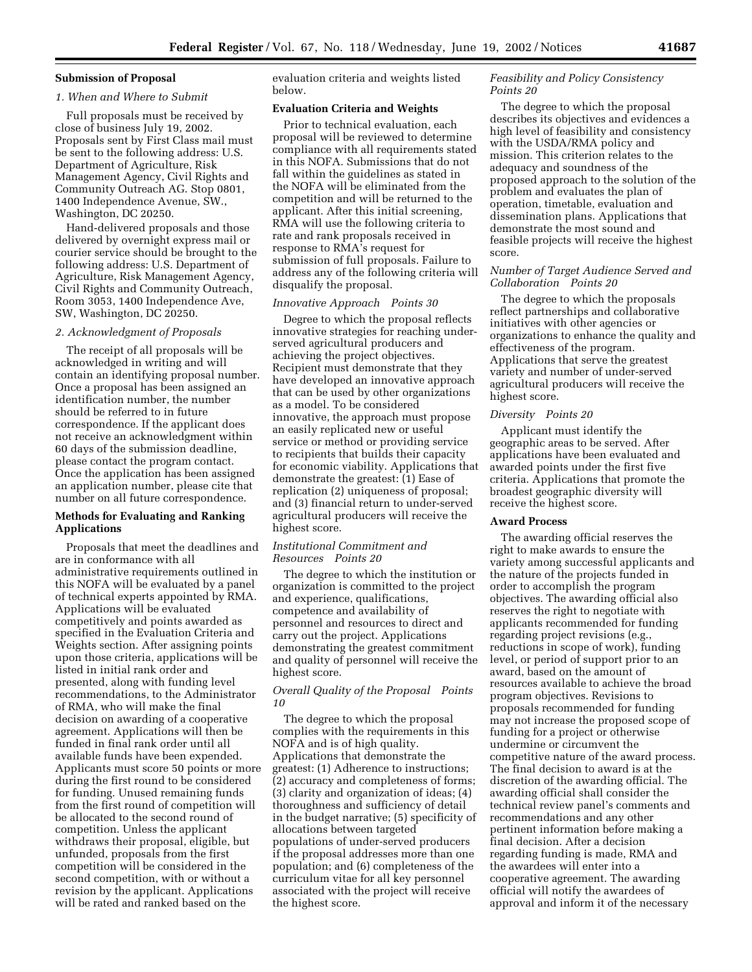# **Submission of Proposal**

### *1. When and Where to Submit*

Full proposals must be received by close of business July 19, 2002. Proposals sent by First Class mail must be sent to the following address: U.S. Department of Agriculture, Risk Management Agency, Civil Rights and Community Outreach AG. Stop 0801, 1400 Independence Avenue, SW., Washington, DC 20250.

Hand-delivered proposals and those delivered by overnight express mail or courier service should be brought to the following address: U.S. Department of Agriculture, Risk Management Agency, Civil Rights and Community Outreach, Room 3053, 1400 Independence Ave, SW, Washington, DC 20250.

### *2. Acknowledgment of Proposals*

The receipt of all proposals will be acknowledged in writing and will contain an identifying proposal number. Once a proposal has been assigned an identification number, the number should be referred to in future correspondence. If the applicant does not receive an acknowledgment within 60 days of the submission deadline, please contact the program contact. Once the application has been assigned an application number, please cite that number on all future correspondence.

## **Methods for Evaluating and Ranking Applications**

Proposals that meet the deadlines and are in conformance with all administrative requirements outlined in this NOFA will be evaluated by a panel of technical experts appointed by RMA. Applications will be evaluated competitively and points awarded as specified in the Evaluation Criteria and Weights section. After assigning points upon those criteria, applications will be listed in initial rank order and presented, along with funding level recommendations, to the Administrator of RMA, who will make the final decision on awarding of a cooperative agreement. Applications will then be funded in final rank order until all available funds have been expended. Applicants must score 50 points or more during the first round to be considered for funding. Unused remaining funds from the first round of competition will be allocated to the second round of competition. Unless the applicant withdraws their proposal, eligible, but unfunded, proposals from the first competition will be considered in the second competition, with or without a revision by the applicant. Applications will be rated and ranked based on the

evaluation criteria and weights listed below.

### **Evaluation Criteria and Weights**

Prior to technical evaluation, each proposal will be reviewed to determine compliance with all requirements stated in this NOFA. Submissions that do not fall within the guidelines as stated in the NOFA will be eliminated from the competition and will be returned to the applicant. After this initial screening, RMA will use the following criteria to rate and rank proposals received in response to RMA's request for submission of full proposals. Failure to address any of the following criteria will disqualify the proposal.

### *Innovative Approach Points 30*

Degree to which the proposal reflects innovative strategies for reaching underserved agricultural producers and achieving the project objectives. Recipient must demonstrate that they have developed an innovative approach that can be used by other organizations as a model. To be considered innovative, the approach must propose an easily replicated new or useful service or method or providing service to recipients that builds their capacity for economic viability. Applications that demonstrate the greatest: (1) Ease of replication (2) uniqueness of proposal; and (3) financial return to under-served agricultural producers will receive the highest score.

## *Institutional Commitment and Resources Points 20*

The degree to which the institution or organization is committed to the project and experience, qualifications, competence and availability of personnel and resources to direct and carry out the project. Applications demonstrating the greatest commitment and quality of personnel will receive the highest score.

## *Overall Quality of the Proposal Points 10*

The degree to which the proposal complies with the requirements in this NOFA and is of high quality. Applications that demonstrate the greatest: (1) Adherence to instructions; (2) accuracy and completeness of forms; (3) clarity and organization of ideas; (4) thoroughness and sufficiency of detail in the budget narrative; (5) specificity of allocations between targeted populations of under-served producers if the proposal addresses more than one population; and (6) completeness of the curriculum vitae for all key personnel associated with the project will receive the highest score.

## *Feasibility and Policy Consistency Points 20*

The degree to which the proposal describes its objectives and evidences a high level of feasibility and consistency with the USDA/RMA policy and mission. This criterion relates to the adequacy and soundness of the proposed approach to the solution of the problem and evaluates the plan of operation, timetable, evaluation and dissemination plans. Applications that demonstrate the most sound and feasible projects will receive the highest score.

## *Number of Target Audience Served and Collaboration Points 20*

The degree to which the proposals reflect partnerships and collaborative initiatives with other agencies or organizations to enhance the quality and effectiveness of the program. Applications that serve the greatest variety and number of under-served agricultural producers will receive the highest score.

## *Diversity Points 20*

Applicant must identify the geographic areas to be served. After applications have been evaluated and awarded points under the first five criteria. Applications that promote the broadest geographic diversity will receive the highest score.

### **Award Process**

The awarding official reserves the right to make awards to ensure the variety among successful applicants and the nature of the projects funded in order to accomplish the program objectives. The awarding official also reserves the right to negotiate with applicants recommended for funding regarding project revisions (e.g., reductions in scope of work), funding level, or period of support prior to an award, based on the amount of resources available to achieve the broad program objectives. Revisions to proposals recommended for funding may not increase the proposed scope of funding for a project or otherwise undermine or circumvent the competitive nature of the award process. The final decision to award is at the discretion of the awarding official. The awarding official shall consider the technical review panel's comments and recommendations and any other pertinent information before making a final decision. After a decision regarding funding is made, RMA and the awardees will enter into a cooperative agreement. The awarding official will notify the awardees of approval and inform it of the necessary